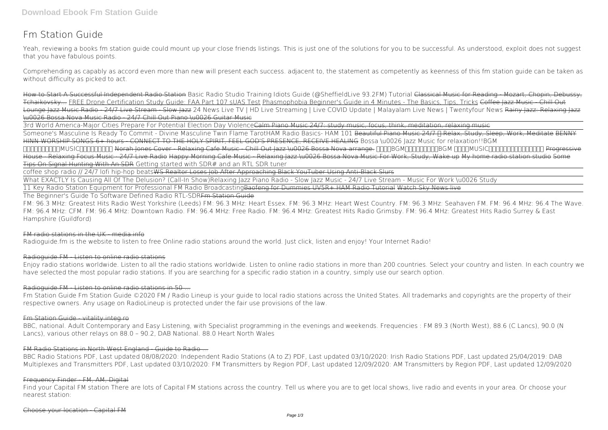# **Fm Station Guide**

Comprehending as capably as accord even more than new will present each success. adjacent to, the statement as competently as keenness of this fm station guide can be taken as without difficulty as picked to act.

Yeah, reviewing a books **fm station guide** could mount up your close friends listings. This is just one of the solutions for you to be successful. As understood, exploit does not suggest that you have fabulous points.

How to Start A Successful Independent Radio Station **Basic Radio Studio Training Idiots Guide (@SheffieldLive 93.2FM) Tutorial** Classical Music for Reading - Mozart, Chopin, Debussy, Tchaikovsky... FREE Drone Certification Study Guide: FAA Part 107 sUAS Test Phasmophobia Beginner's Guide in 4 Minutes - The Basics, Tips, Tricks Coffee Jazz Music - Chill Out Lounge Jazz Music Radio - 24/7 Live Stream - Slow Jazz 24 News Live TV | HD Live Streaming | Live COVID Update | Malayalam Live News | Twentyfour News Rainy Jazz: Relaxing Jazz \u0026 Bossa Nova Music Radio - 24/7 Chill Out Piano \u0026 Guitar Music

3rd World America-Major Cities Prepare For Potential Election Day ViolenceCalm Piano Music 24/7: study music, focus, think, meditation, relaxing music Someone's Masculine Is Ready To Commit - Divine Masculine Twin Flame Tarot*HAM Radio Basics- HAM 101* Beautiful Piano Music 24/7 • Relax, Study, Sleep, Work, Meditate BENNY HINN WORSHIP SONGS 6+ hours - CONNECT TO THE HOLY SPIRIT, FEEL GOD'S PRESENCE, RECEIVE HEALING Bossa \u0026 Jazz Music for relaxation!!BGM http://book.org/http://www.bitc.org/http://www.bitc.org/wave-chill Out Jazz \u0026 Bossa Nova arrange. በበጠ8GM በበጠበጠጠጠጠ bGM በበጠበ WISIC [חחחח מחחח מחחח מקום Progressive House · Relaxing Focus Music · 24/7 Live Radio Happy Morning Cafe Music - Relaxing Jazz \u0026 Bossa Nova Music For Work, Study, Wake up My home radio station studio Some Tips On Signal Hunting With An SDR Getting started with SDR# and an RTL SDR tuner

coffee shop radio // 24/7 lofi hip-hop beats<del>WS Realtor Loses Job After Approaching Black YouTuber Using Anti-Black Slurs</del>

Fm Station Guide Fm Station Guide ©2020 FM / Radio Lineup is your quide to local radio stations across the United States. All trademarks and copyrights are the property of their respective owners. Any usage on RadioLineup is protected under the fair use provisions of the law.

What EXACTLY Is Causing All Of The Delusion? (Call-In Show)**Relaxing Jazz Piano Radio - Slow Jazz Music - 24/7 Live Stream - Music For Work \u0026 Study** 11 Key Radio Station Equipment for Professional FM Radio BroadcastingBaofeng for Dummies UV5R+ HAM Radio Tutorial Watch Sky News live The Beginner's Guide To Software Defined Radio RTL-SDRFm Station Guide

FM: 96.3 MHz: Greatest Hits Radio West Yorkshire (Leeds) FM: 96.3 MHz: Heart Essex. FM: 96.3 MHz: Heart West Country. FM: 96.3 MHz: Seahaven FM. FM: 96.4 MHz: 96.4 The Wave. FM: 96.4 MHz: CFM. FM: 96.4 MHz: Downtown Radio. FM: 96.4 MHz: Free Radio. FM: 96.4 MHz: Greatest Hits Radio Grimsby. FM: 96.4 MHz: Greatest Hits Radio Surrey & East Hampshire (Guildford)

## $FM$  radio stations in the UK  $\_$  media info

Radioguide.fm is the website to listen to free Online radio stations around the world. Just click, listen and enjoy! Your Internet Radio!

## Radioquide FM - Listen to online radio stations

Enjoy radio stations worldwide. Listen to all the radio stations worldwide. Listen to online radio stations in more than 200 countries. Select your country and listen. In each country we have selected the most popular radio stations. If you are searching for a specific radio station in a country, simply use our search option.

## Radioguide.FM - Listen to online radio stations in 50 ...

## Fm Station Guide - vitality.integ.ro

BBC, national. Adult Contemporary and Easy Listening, with Specialist programming in the evenings and weekends. Frequencies : FM 89.3 (North West), 88.6 (C Lancs), 90.0 (N Lancs), various other relays on 88.0 – 90.2, DAB National. 88.0 Heart North Wales

## FM Radio Stations in North West England - Guide to Radio ...

BBC Radio Stations PDF, Last updated 08/08/2020: Independent Radio Stations (A to Z) PDF, Last updated 03/10/2020: Irish Radio Stations PDF, Last updated 25/04/2019: DAB Multiplexes and Transmitters PDF, Last updated 03/10/2020: FM Transmitters by Region PDF, Last updated 12/09/2020: AM Transmitters by Region PDF, Last updated 12/09/2020

## Frequency Finder FM, AM, Digital

Find your Capital FM station There are lots of Capital FM stations across the country. Tell us where you are to get local shows, live radio and events in your area. Or choose your nearest station: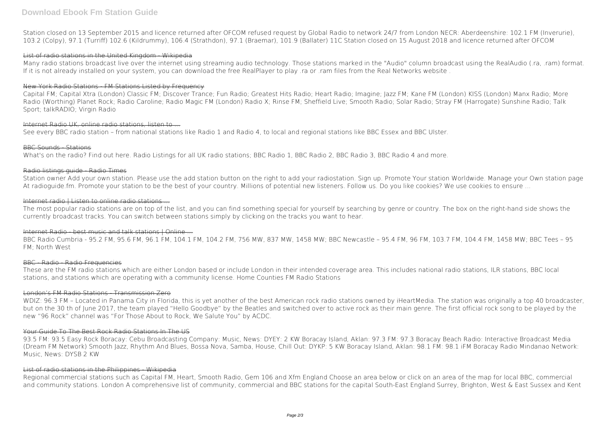Station closed on 13 September 2015 and licence returned after OFCOM refused request by Global Radio to network 24/7 from London NECR: Aberdeenshire: 102.1 FM (Inverurie), 103.2 (Colpy), 97.1 (Turriff) 102.6 (Kildrummy), 106.4 (Strathdon), 97.1 (Braemar), 101.9 (Ballater) 11C Station closed on 15 August 2018 and licence returned after OFCOM

## List of radio stations in the United Kingdom - Wikipedia

Many radio stations broadcast live over the internet using streaming audio technology. Those stations marked in the "Audio" column broadcast using the RealAudio (.ra, .ram) format. If it is not already installed on your system, you can download the free RealPlayer to play .ra or .ram files from the Real Networks website .

## New York Radio Stations - FM Stations Listed by Frequency

Station owner Add your own station. Please use the add station button on the right to add your radiostation. Sign up. Promote Your station Worldwide. Manage your Own station page At radioguide.fm. Promote your station to be the best of your country. Millions of potential new listeners. Follow us. Do you like cookies? We use cookies to ensure ...

## Internet radio | Listen to online radio stations ...

Capital FM; Capital Xtra (London) Classic FM; Discover Trance; Fun Radio; Greatest Hits Radio; Heart Radio; Imagine; Jazz FM; Kane FM (London) KISS (London) Manx Radio; More Radio (Worthing) Planet Rock; Radio Caroline; Radio Magic FM (London) Radio X; Rinse FM; Sheffield Live; Smooth Radio; Solar Radio; Stray FM (Harrogate) Sunshine Radio; Talk Sport; talkRADIO; Virgin Radio

## Internet Radio UK, online radio stations, listen to

See every BBC radio station – from national stations like Radio 1 and Radio 4, to local and regional stations like BBC Essex and BBC Ulster.

## **BBC Sounds** Stations

What's on the radio? Find out here. Radio Listings for all UK radio stations; BBC Radio 1, BBC Radio 2, BBC Radio 3, BBC Radio 4 and more.

## Radio listings guide - Radio Times

WDIZ: 96.3 FM – Located in Panama City in Florida, this is yet another of the best American rock radio stations owned by iHeartMedia. The station was originally a top 40 broadcaster, but on the 30 th of June 2017, the team played "Hello Goodbye" by the Beatles and switched over to active rock as their main genre. The first official rock song to be played by the new "96 Rock" channel was "For Those About to Rock, We Salute You" by ACDC.

The most popular radio stations are on top of the list, and you can find something special for yourself by searching by genre or country. The box on the right-hand side shows the currently broadcast tracks. You can switch between stations simply by clicking on the tracks you want to hear.

## Internet Radio - best music and talk stations I Online

BBC Radio Cumbria - 95.2 FM, 95.6 FM, 96.1 FM, 104.1 FM, 104.2 FM, 756 MW, 837 MW, 1458 MW; BBC Newcastle – 95.4 FM, 96 FM, 103.7 FM, 104.4 FM, 1458 MW; BBC Tees – 95 FM; North West

## BBC - Radio - Radio Frequencies

These are the FM radio stations which are either London based or include London in their intended coverage area. This includes national radio stations, ILR stations, BBC local stations, and stations which are operating with a community license. Home Counties FM Radio Stations

## London's FM Radio Stations - Transmission Zero

## Your Guide To The Best Rock Radio Stations In The US

93.5 FM: 93.5 Easy Rock Boracay: Cebu Broadcasting Company: Music, News: DYEY: 2 KW Boracay Island, Aklan: 97.3 FM: 97.3 Boracay Beach Radio: Interactive Broadcast Media (Dream FM Network) Smooth Jazz, Rhythm And Blues, Bossa Nova, Samba, House, Chill Out: DYKP: 5 KW Boracay Island, Aklan: 98.1 FM: 98.1 iFM Boracay Radio Mindanao Network: Music, News: DYSB 2 KW

## List of radio stations in the Philippines - Wikipedia

Regional commercial stations such as Capital FM, Heart, Smooth Radio, Gem 106 and Xfm England Choose an area below or click on an area of the map for local BBC, commercial and community stations. London A comprehensive list of community, commercial and BBC stations for the capital South-East England Surrey, Brighton, West & East Sussex and Kent